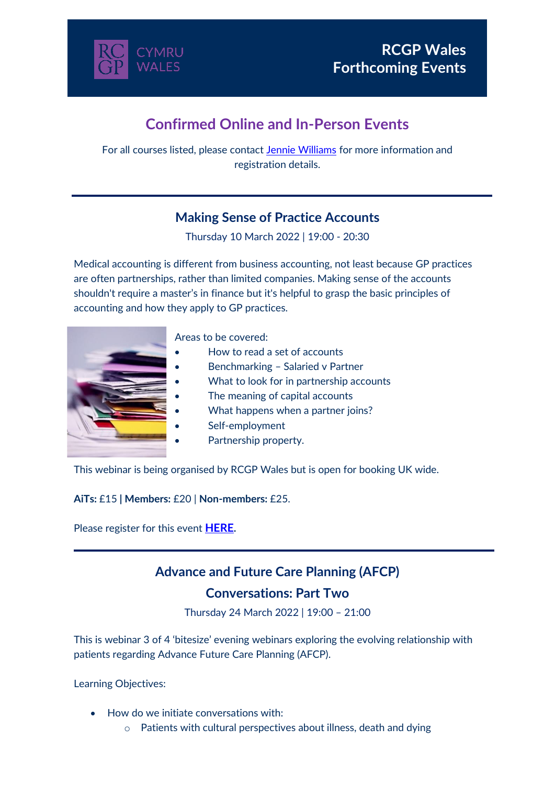

# **Confirmed Online and In-Person Events**

For all courses listed, please contact [Jennie Williams](mailto:Jennie.Williams@rcgp.org.uk) for more information and registration details.

### **Making Sense of Practice Accounts**

Thursday 10 March 2022 | 19:00 - 20:30

Medical accounting is different from business accounting, not least because GP practices are often partnerships, rather than limited companies. Making sense of the accounts shouldn't require a master's in finance but it's helpful to grasp the basic principles of accounting and how they apply to GP practices.



Areas to be covered:

- How to read a set of accounts
- Benchmarking Salaried v Partner
- What to look for in partnership accounts
- The meaning of capital accounts
- What happens when a partner joins?
- Self-employment
- Partnership property.

This webinar is being organised by RCGP Wales but is open for booking UK wide.

**AiTs:** £15 **| Members:** £20 | **Non-members:** £25.

Please register for this event **[HERE](https://rcgpportal.force.com/s/lt-event?id=a1U1i000008Wi7FEAS&site=a0d1i00000aKQbhAAG).**

### **Advance and Future Care Planning (AFCP)**

#### **Conversations: Part Two**

Thursday 24 March 2022 | 19:00 – 21:00

This is webinar 3 of 4 'bitesize' evening webinars exploring the evolving relationship with patients regarding Advance Future Care Planning (AFCP).

Learning Objectives:

- How do we initiate conversations with:
	- o Patients with cultural perspectives about illness, death and dying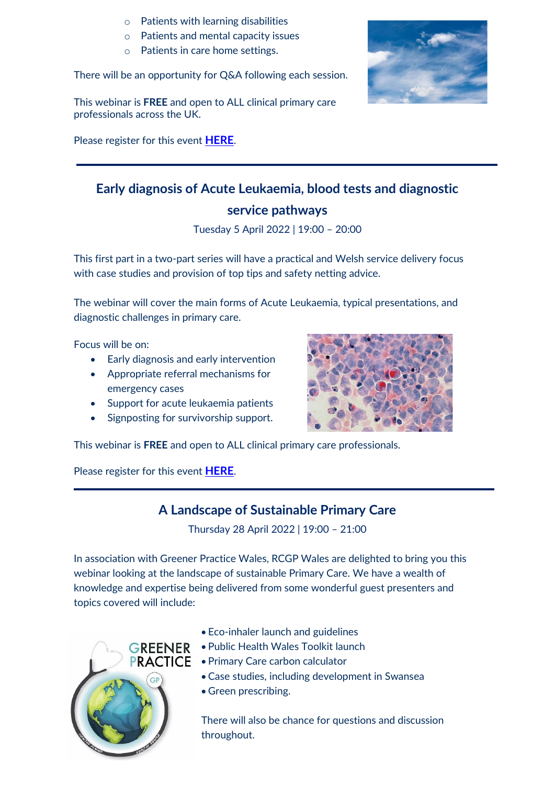- o Patients with learning disabilities
- o Patients and mental capacity issues
- o Patients in care home settings.

There will be an opportunity for Q&A following each session.

This webinar is **FREE** and open to ALL clinical primary care professionals across the UK.

Please register for this event **[HERE](https://rcgpportal.force.com/s/lt-event?id=a1U1i0000091iBLEAY&site=a0d1i00000aKQbhAAG)**.



## **Early diagnosis of Acute Leukaemia, blood tests and diagnostic service pathways**

Tuesday 5 April 2022 | 19:00 – 20:00

This first part in a two-part series will have a practical and Welsh service delivery focus with case studies and provision of top tips and safety netting advice.

The webinar will cover the main forms of Acute Leukaemia, typical presentations, and diagnostic challenges in primary care.

Focus will be on:

- Early diagnosis and early intervention
- Appropriate referral mechanisms for emergency cases
- Support for acute leukaemia patients
- Signposting for survivorship support.



This webinar is **FREE** and open to ALL clinical primary care professionals.

Please register for this event **[HERE](https://rcgpportal.force.com/s/lt-event?id=a1U1i000009j5GLEAY&site=a0d1i00000aKQbhAAG)**.

### **A Landscape of Sustainable Primary Care**

Thursday 28 April 2022 | 19:00 – 21:00

In association with Greener Practice Wales, RCGP Wales are delighted to bring you this webinar looking at the landscape of sustainable Primary Care. We have a wealth of knowledge and expertise being delivered from some wonderful guest presenters and topics covered will include:



- Eco-inhaler launch and guidelines
- **GREENER** Public Health Wales Toolkit launch
- **PRACTICE** Primary Care carbon calculator
	- Case studies, including development in Swansea
	- Green prescribing.

There will also be chance for questions and discussion throughout.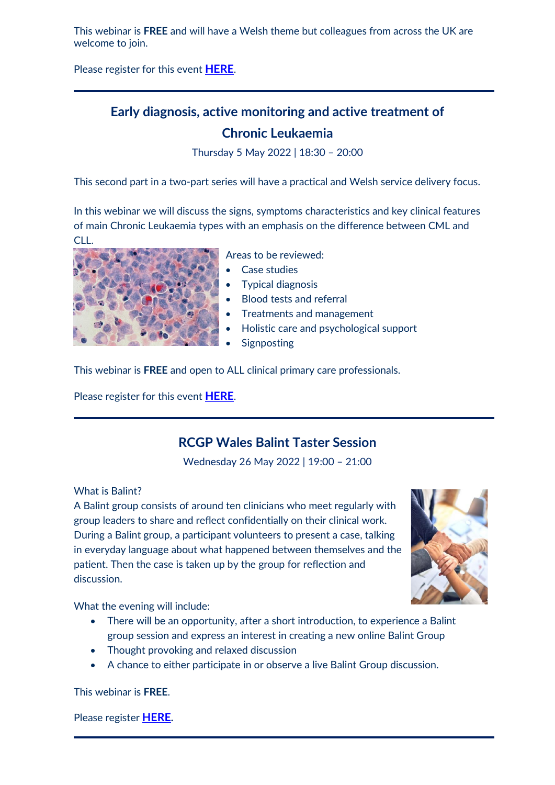This webinar is **FREE** and will have a Welsh theme but colleagues from across the UK are welcome to join.

Please register for this event **[HERE](https://rcgpportal.force.com/s/lt-event?id=a1U1i000009jxWDEAY&site=a0d1i00000aKQbhAAG)**.

## **Early diagnosis, active monitoring and active treatment of Chronic Leukaemia**

Thursday 5 May 2022 | 18:30 – 20:00

This second part in a two-part series will have a practical and Welsh service delivery focus.

In this webinar we will discuss the signs, symptoms characteristics and key clinical features of main Chronic Leukaemia types with an emphasis on the difference between CML and CLL.



Areas to be reviewed:

- Case studies
- Typical diagnosis
- Blood tests and referral
- Treatments and management
- Holistic care and psychological support
- **Signposting**

This webinar is **FREE** and open to ALL clinical primary care professionals.

Please register for this event **[HERE](https://rcgpportal.force.com/s/lt-event?id=a1U1i000009jFHTEA2&site=a0d1i00000aKQbhAAG)**.

### **RCGP Wales Balint Taster Session**

Wednesday 26 May 2022 | 19:00 – 21:00

What is Balint?

A Balint group consists of around ten clinicians who meet regularly with group leaders to share and reflect confidentially on their clinical work. During a Balint group, a participant volunteers to present a case, talking in everyday language about what happened between themselves and the patient. Then the case is taken up by the group for reflection and discussion.



What the evening will include:

- There will be an opportunity, after a short introduction, to experience a Balint group session and express an interest in creating a new online Balint Group
- Thought provoking and relaxed discussion
- A chance to either participate in or observe a live Balint Group discussion.

This webinar is **FREE**.

Please register **[HERE](https://rcgpportal.force.com/s/lt-event?id=a1U1i0000046ur7EAA&site=a0d1i00000aKQbhAAG).**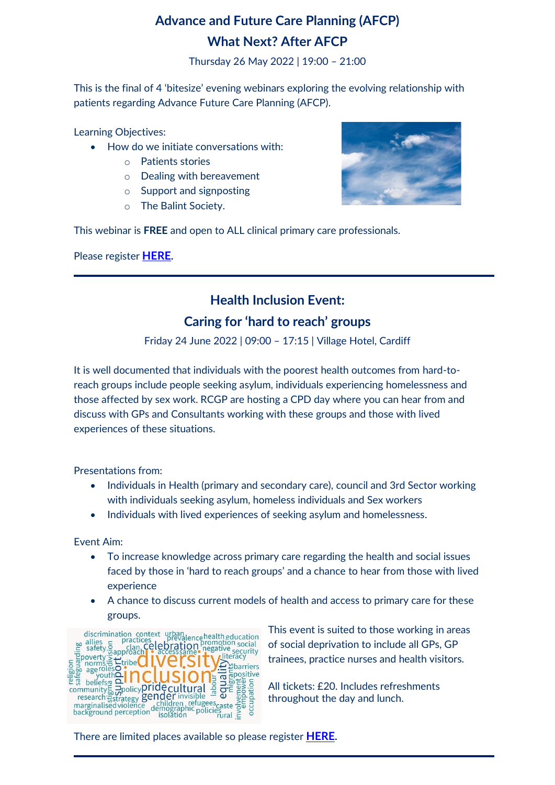# **Advance and Future Care Planning (AFCP) What Next? After AFCP**

Thursday 26 May 2022 | 19:00 – 21:00

This is the final of 4 'bitesize' evening webinars exploring the evolving relationship with patients regarding Advance Future Care Planning (AFCP).

Learning Objectives:

- How do we initiate conversations with:
	- o Patients stories
	- o Dealing with bereavement
	- o Support and signposting
	- o The Balint Society.



This webinar is **FREE** and open to ALL clinical primary care professionals.

Please register **[HERE](https://rcgpportal.force.com/s/lt-event?id=a1U1i000000KUJXEA4&site=a0d1i00000aKQbhAAG).**

### **Health Inclusion Event:**

#### **Caring for 'hard to reach' groups**

Friday 24 June 2022 | 09:00 – 17:15 | Village Hotel, Cardiff

It is well documented that individuals with the poorest health outcomes from hard-toreach groups include people seeking asylum, individuals experiencing homelessness and those affected by sex work. RCGP are hosting a CPD day where you can hear from and discuss with GPs and Consultants working with these groups and those with lived experiences of these situations.

Presentations from:

- Individuals in Health (primary and secondary care), council and 3rd Sector working with individuals seeking asylum, homeless individuals and Sex workers
- Individuals with lived experiences of seeking asylum and homelessness.

Event Aim:

- To increase knowledge across primary care regarding the health and social issues faced by those in 'hard to reach groups' and a chance to hear from those with lived experience
- A chance to discuss current models of health and access to primary care for these groups.



This event is suited to those working in areas of social deprivation to include all GPs, GP trainees, practice nurses and health visitors.

All tickets: £20. Includes refreshments throughout the day and lunch.

There are limited places available so please register **[HERE](https://rcgpportal.force.com/s/lt-event?id=a1U1i000009irNDEAY&site=a0d1i00000aKQbhAAG).**